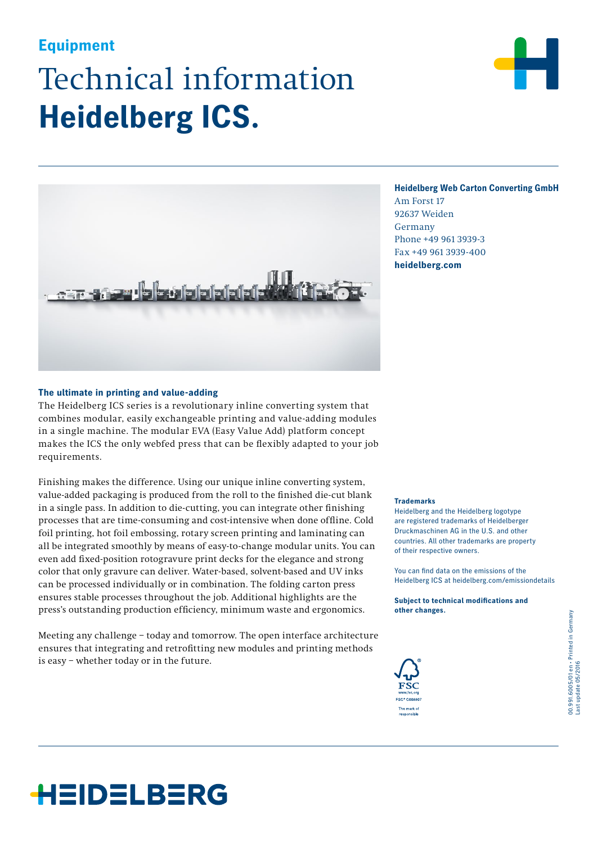# Technical information **Heidelberg ICS. Equipment**





### **Heidelberg Web Carton Converting GmbH**

Am Forst 17 92637 Weiden Germany Phone +49 961 3939-3 Fax +49 961 3939-400 **heidelberg.com**

#### **The ultimate in printing and value-adding**

The Heidelberg ICS series is a revolutionary inline converting system that combines modular, easily exchangeable printing and value-adding modules in a single machine. The modular EVA (Easy Value Add) platform concept makes the ICS the only webfed press that can be flexibly adapted to your job requirements.

Finishing makes the difference. Using our unique inline converting system, value-added packaging is produced from the roll to the finished die-cut blank in a single pass. In addition to die-cutting, you can integrate other finishing processes that are time-consuming and cost-intensive when done offline. Cold foil printing, hot foil embossing, rotary screen printing and laminating can all be integrated smoothly by means of easy-to-change modular units. You can even add fixed-position rotogravure print decks for the elegance and strong color that only gravure can deliver. Water-based, solvent-based and UV inks can be processed individually or in combination. The folding carton press ensures stable processes throughout the job. Additional highlights are the press's outstanding production efficiency, minimum waste and ergonomics.

Meeting any challenge – today and tomorrow. The open interface architecture ensures that integrating and retrofitting new modules and printing methods is easy – whether today or in the future.

#### **Trademarks**

Heidelberg and the Heidelberg logotype are registered trademarks of Heidelberger Druckmaschinen AG in the U.S. and other countries. All other trademarks are property of their respective owners.

You can find data on the emissions of the Heidelberg ICS at heidelberg.com/emissiondetails

**Subject to technical modifications and other changes.**



## HEIDELBERG